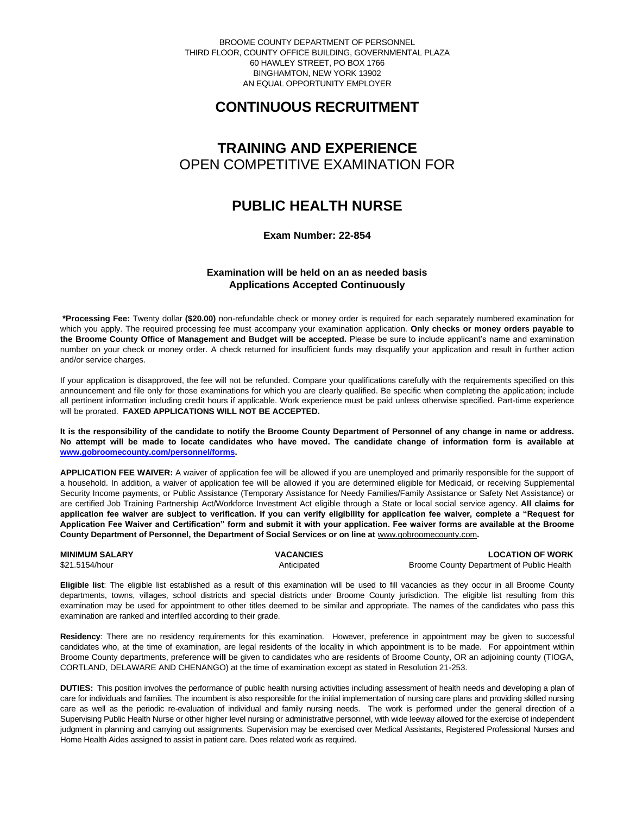BROOME COUNTY DEPARTMENT OF PERSONNEL THIRD FLOOR, COUNTY OFFICE BUILDING, GOVERNMENTAL PLAZA 60 HAWLEY STREET, PO BOX 1766 BINGHAMTON, NEW YORK 13902 AN EQUAL OPPORTUNITY EMPLOYER

# **CONTINUOUS RECRUITMENT**

# **TRAINING AND EXPERIENCE** OPEN COMPETITIVE EXAMINATION FOR

### **PUBLIC HEALTH NURSE**

**Exam Number: 22-854**

### **Examination will be held on an as needed basis Applications Accepted Continuously**

**\*Processing Fee:** Twenty dollar **(\$20.00)** non-refundable check or money order is required for each separately numbered examination for which you apply. The required processing fee must accompany your examination application. **Only checks or money orders payable to the Broome County Office of Management and Budget will be accepted.** Please be sure to include applicant's name and examination number on your check or money order. A check returned for insufficient funds may disqualify your application and result in further action and/or service charges.

If your application is disapproved, the fee will not be refunded. Compare your qualifications carefully with the requirements specified on this announcement and file only for those examinations for which you are clearly qualified. Be specific when completing the application; include all pertinent information including credit hours if applicable. Work experience must be paid unless otherwise specified. Part-time experience will be prorated. **FAXED APPLICATIONS WILL NOT BE ACCEPTED.** 

**It is the responsibility of the candidate to notify the Broome County Department of Personnel of any change in name or address. No attempt will be made to locate candidates who have moved. The candidate change of information form is available at [www.gobroomecounty.com/personnel/forms.](http://www.gobroomecounty.com/personnel/forms)** 

**APPLICATION FEE WAIVER:** A waiver of application fee will be allowed if you are unemployed and primarily responsible for the support of a household. In addition, a waiver of application fee will be allowed if you are determined eligible for Medicaid, or receiving Supplemental Security Income payments, or Public Assistance (Temporary Assistance for Needy Families/Family Assistance or Safety Net Assistance) or are certified Job Training Partnership Act/Workforce Investment Act eligible through a State or local social service agency. **All claims for application fee waiver are subject to verification. If you can verify eligibility for application fee waiver, complete a "Request for Application Fee Waiver and Certification" form and submit it with your application. Fee waiver forms are available at the Broome County Department of Personnel, the Department of Social Services or on line at** www.gobroomecounty.com**.** 

**MINIMUM SALARY CONSUMINIMUM SALARY** CONSULTER THE VACANCIES **CONSULTER VACANCIES LOCATION OF WORK**<br> **Anticipated** Anticipated Broome County Department of Public Health \$21.5154/hour Anticipated Broome County Department of Public Health

**Eligible list**: The eligible list established as a result of this examination will be used to fill vacancies as they occur in all Broome County departments, towns, villages, school districts and special districts under Broome County jurisdiction. The eligible list resulting from this examination may be used for appointment to other titles deemed to be similar and appropriate. The names of the candidates who pass this examination are ranked and interfiled according to their grade.

**Residency**: There are no residency requirements for this examination. However, preference in appointment may be given to successful candidates who, at the time of examination, are legal residents of the locality in which appointment is to be made. For appointment within Broome County departments, preference **will** be given to candidates who are residents of Broome County, OR an adjoining county (TIOGA, CORTLAND, DELAWARE AND CHENANGO) at the time of examination except as stated in Resolution 21-253.

**DUTIES:** This position involves the performance of public health nursing activities including assessment of health needs and developing a plan of care for individuals and families. The incumbent is also responsible for the initial implementation of nursing care plans and providing skilled nursing care as well as the periodic re-evaluation of individual and family nursing needs. The work is performed under the general direction of a Supervising Public Health Nurse or other higher level nursing or administrative personnel, with wide leeway allowed for the exercise of independent judgment in planning and carrying out assignments. Supervision may be exercised over Medical Assistants, Registered Professional Nurses and Home Health Aides assigned to assist in patient care. Does related work as required.